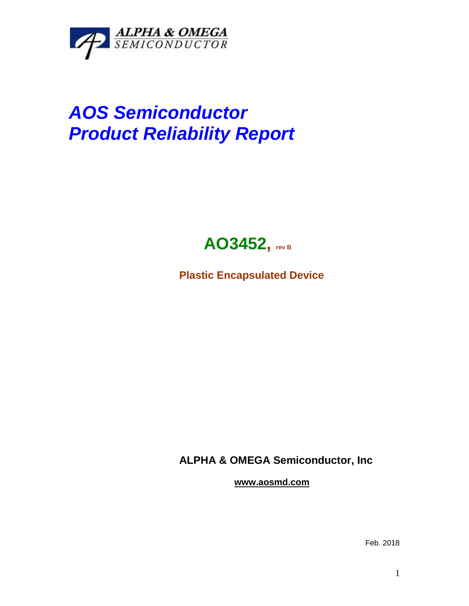

## *AOS Semiconductor Product Reliability Report*



**Plastic Encapsulated Device**

**ALPHA & OMEGA Semiconductor, Inc**

**www.aosmd.com**

Feb. 2018